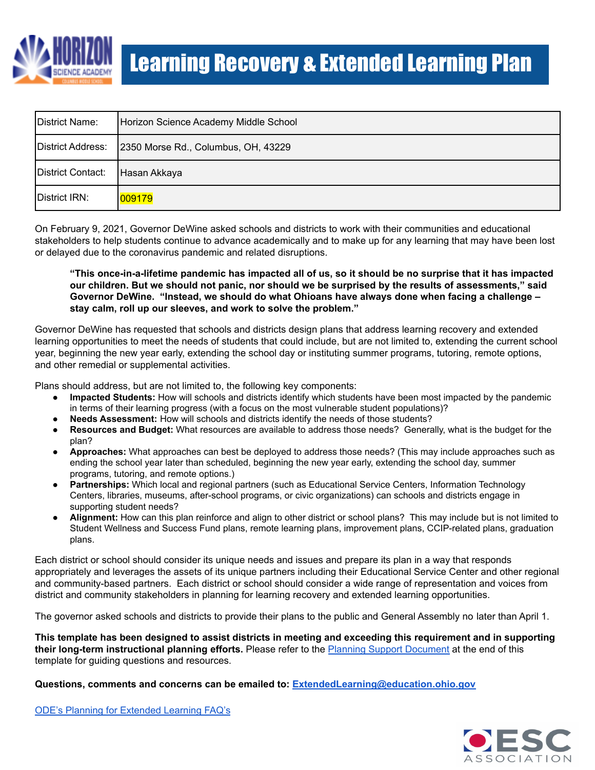

| District Name:    | Horizon Science Academy Middle School |
|-------------------|---------------------------------------|
| District Address: | 2350 Morse Rd., Columbus, OH, 43229   |
| District Contact: | Hasan Akkaya                          |
| District IRN:     | 009179                                |

On February 9, 2021, Governor DeWine asked schools and districts to work with their communities and educational stakeholders to help students continue to advance academically and to make up for any learning that may have been lost or delayed due to the coronavirus pandemic and related disruptions.

"This once-in-a-lifetime pandemic has impacted all of us, so it should be no surprise that it has impacted our children. But we should not panic, nor should we be surprised by the results of assessments," said **Governor DeWine. "Instead, we should do what Ohioans have always done when facing a challenge – stay calm, roll up our sleeves, and work to solve the problem."**

Governor DeWine has requested that schools and districts design plans that address learning recovery and extended learning opportunities to meet the needs of students that could include, but are not limited to, extending the current school year, beginning the new year early, extending the school day or instituting summer programs, tutoring, remote options, and other remedial or supplemental activities.

Plans should address, but are not limited to, the following key components:

- **Impacted Students:** How will schools and districts identify which students have been most impacted by the pandemic in terms of their learning progress (with a focus on the most vulnerable student populations)?
- **Needs Assessment:** How will schools and districts identify the needs of those students?
- **Resources and Budget:** What resources are available to address those needs? Generally, what is the budget for the plan?
- **Approaches:** What approaches can best be deployed to address those needs? (This may include approaches such as ending the school year later than scheduled, beginning the new year early, extending the school day, summer programs, tutoring, and remote options.)
- **Partnerships:** Which local and regional partners (such as Educational Service Centers, Information Technology Centers, libraries, museums, after-school programs, or civic organizations) can schools and districts engage in supporting student needs?
- **Alignment:** How can this plan reinforce and align to other district or school plans? This may include but is not limited to Student Wellness and Success Fund plans, remote learning plans, improvement plans, CCIP-related plans, graduation plans.

Each district or school should consider its unique needs and issues and prepare its plan in a way that responds appropriately and leverages the assets of its unique partners including their Educational Service Center and other regional and community-based partners. Each district or school should consider a wide range of representation and voices from district and community stakeholders in planning for learning recovery and extended learning opportunities.

The governor asked schools and districts to provide their plans to the public and General Assembly no later than April 1.

This template has been designed to assist districts in meeting and exceeding this requirement and in supporting **their long-term instructional planning efforts.** Please refer to the Planning Support [Document](#page-6-0) at the end of this template for guiding questions and resources.

**Questions, comments and concerns can be emailed to: [ExtendedLearning@education.ohio.gov](mailto:ExtendedLearning@education.ohio.gov)**

ODE's Planning for [Extended](http://education.ohio.gov/Topics/Reset-and-Restart/Planning-for-Extended-Learning) Learning FAQ's

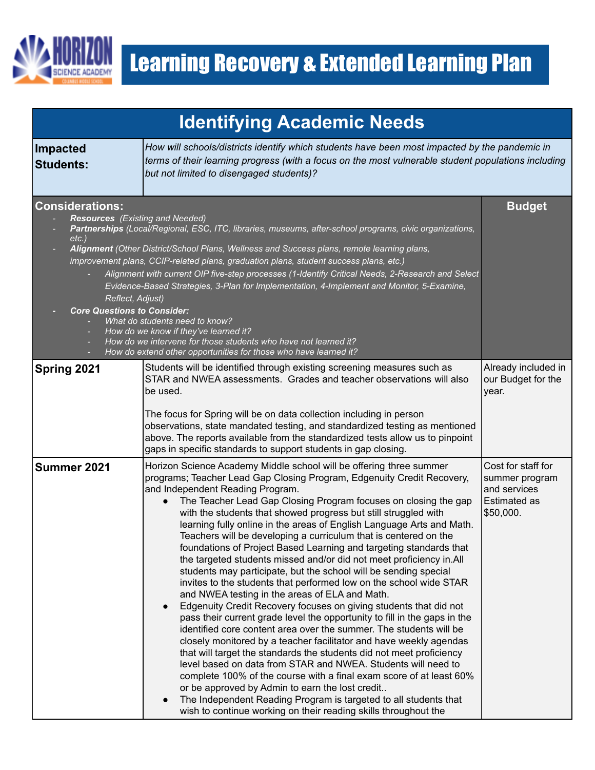

| <b>Identifying Academic Needs</b>                                                                                                      |                                                                                                                                                                                                                                                                                                                                                                                                                                                                                                                                                                                                                                                                                                                                                                                                                                                                                                                                                                                                                                                                                                                                                                                                                                                                                                                                                                                                                                                                                                                       |                                                                                          |
|----------------------------------------------------------------------------------------------------------------------------------------|-----------------------------------------------------------------------------------------------------------------------------------------------------------------------------------------------------------------------------------------------------------------------------------------------------------------------------------------------------------------------------------------------------------------------------------------------------------------------------------------------------------------------------------------------------------------------------------------------------------------------------------------------------------------------------------------------------------------------------------------------------------------------------------------------------------------------------------------------------------------------------------------------------------------------------------------------------------------------------------------------------------------------------------------------------------------------------------------------------------------------------------------------------------------------------------------------------------------------------------------------------------------------------------------------------------------------------------------------------------------------------------------------------------------------------------------------------------------------------------------------------------------------|------------------------------------------------------------------------------------------|
| <b>Impacted</b><br><b>Students:</b>                                                                                                    | How will schools/districts identify which students have been most impacted by the pandemic in<br>terms of their learning progress (with a focus on the most vulnerable student populations including<br>but not limited to disengaged students)?                                                                                                                                                                                                                                                                                                                                                                                                                                                                                                                                                                                                                                                                                                                                                                                                                                                                                                                                                                                                                                                                                                                                                                                                                                                                      |                                                                                          |
| <b>Considerations:</b><br><b>Resources</b> (Existing and Needed)<br>$etc.$ )<br>Reflect, Adjust)<br><b>Core Questions to Consider:</b> | Partnerships (Local/Regional, ESC, ITC, libraries, museums, after-school programs, civic organizations,<br>Alignment (Other District/School Plans, Wellness and Success plans, remote learning plans,<br>improvement plans, CCIP-related plans, graduation plans, student success plans, etc.)<br>Alignment with current OIP five-step processes (1-Identify Critical Needs, 2-Research and Select<br>Evidence-Based Strategies, 3-Plan for Implementation, 4-Implement and Monitor, 5-Examine,<br>What do students need to know?<br>How do we know if they've learned it?<br>How do we intervene for those students who have not learned it?<br>How do extend other opportunities for those who have learned it?                                                                                                                                                                                                                                                                                                                                                                                                                                                                                                                                                                                                                                                                                                                                                                                                     | <b>Budget</b>                                                                            |
| Spring 2021                                                                                                                            | Students will be identified through existing screening measures such as<br>STAR and NWEA assessments. Grades and teacher observations will also<br>be used.<br>The focus for Spring will be on data collection including in person<br>observations, state mandated testing, and standardized testing as mentioned<br>above. The reports available from the standardized tests allow us to pinpoint<br>gaps in specific standards to support students in gap closing.                                                                                                                                                                                                                                                                                                                                                                                                                                                                                                                                                                                                                                                                                                                                                                                                                                                                                                                                                                                                                                                  | Already included in<br>our Budget for the<br>year.                                       |
| Summer 2021                                                                                                                            | Horizon Science Academy Middle school will be offering three summer<br>programs; Teacher Lead Gap Closing Program, Edgenuity Credit Recovery,<br>and Independent Reading Program.<br>The Teacher Lead Gap Closing Program focuses on closing the gap<br>with the students that showed progress but still struggled with<br>learning fully online in the areas of English Language Arts and Math.<br>Teachers will be developing a curriculum that is centered on the<br>foundations of Project Based Learning and targeting standards that<br>the targeted students missed and/or did not meet proficiency in.All<br>students may participate, but the school will be sending special<br>invites to the students that performed low on the school wide STAR<br>and NWEA testing in the areas of ELA and Math.<br>Edgenuity Credit Recovery focuses on giving students that did not<br>pass their current grade level the opportunity to fill in the gaps in the<br>identified core content area over the summer. The students will be<br>closely monitored by a teacher facilitator and have weekly agendas<br>that will target the standards the students did not meet proficiency<br>level based on data from STAR and NWEA. Students will need to<br>complete 100% of the course with a final exam score of at least 60%<br>or be approved by Admin to earn the lost credit<br>The Independent Reading Program is targeted to all students that<br>wish to continue working on their reading skills throughout the | Cost for staff for<br>summer program<br>and services<br><b>Estimated as</b><br>\$50,000. |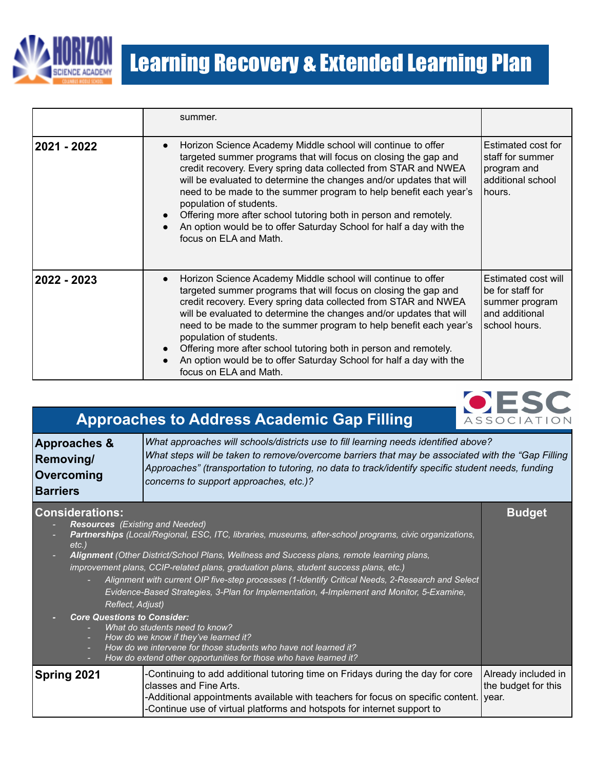

|             | summer.                                                                                                                                                                                                                                                                                                                                                                                                                                                                                                                                                                  |                                                                                              |
|-------------|--------------------------------------------------------------------------------------------------------------------------------------------------------------------------------------------------------------------------------------------------------------------------------------------------------------------------------------------------------------------------------------------------------------------------------------------------------------------------------------------------------------------------------------------------------------------------|----------------------------------------------------------------------------------------------|
| 2021 - 2022 | Horizon Science Academy Middle school will continue to offer<br>$\bullet$<br>targeted summer programs that will focus on closing the gap and<br>credit recovery. Every spring data collected from STAR and NWEA<br>will be evaluated to determine the changes and/or updates that will<br>need to be made to the summer program to help benefit each year's<br>population of students.<br>Offering more after school tutoring both in person and remotely.<br>An option would be to offer Saturday School for half a day with the<br>focus on ELA and Math.              | Estimated cost for<br>staff for summer<br>program and<br>additional school<br>hours.         |
| 2022 - 2023 | Horizon Science Academy Middle school will continue to offer<br>$\bullet$<br>targeted summer programs that will focus on closing the gap and<br>credit recovery. Every spring data collected from STAR and NWEA<br>will be evaluated to determine the changes and/or updates that will<br>need to be made to the summer program to help benefit each year's<br>population of students.<br>Offering more after school tutoring both in person and remotely.<br>$\bullet$<br>An option would be to offer Saturday School for half a day with the<br>focus on ELA and Math. | Estimated cost will<br>be for staff for<br>summer program<br>and additional<br>school hours. |



| <b>Approaches to Address Academic Gap Filling</b><br><b>ASSOCIATION</b> |                                                                                                                                                                                                                                                                                                                                           |  |
|-------------------------------------------------------------------------|-------------------------------------------------------------------------------------------------------------------------------------------------------------------------------------------------------------------------------------------------------------------------------------------------------------------------------------------|--|
| Approaches &<br>Removing/<br>Overcoming<br><b>Barriers</b>              | What approaches will schools/districts use to fill learning needs identified above?<br>What steps will be taken to remove/overcome barriers that may be associated with the "Gap Filling"<br>Approaches" (transportation to tutoring, no data to track/identify specific student needs, funding<br>concerns to support approaches, etc.)? |  |
| <b>Considerations:</b><br><b>Budget</b>                                 |                                                                                                                                                                                                                                                                                                                                           |  |

- *- Resources (Existing and Needed) - Partnerships (Local/Regional, ESC, ITC, libraries, museums, after-school programs, civic organizations, etc.)*
- *- Alignment (Other District/School Plans, Wellness and Success plans, remote learning plans, improvement plans, CCIP-related plans, graduation plans, student success plans, etc.)*
	- *- Alignment with current OIP five-step processes (1-Identify Critical Needs, 2-Research and Select Evidence-Based Strategies, 3-Plan for Implementation, 4-Implement and Monitor, 5-Examine, Reflect, Adjust)*
- *- Core Questions to Consider:*
	- *- What do students need to know?*
	- *- How do we know if they've learned it?*
	- *- How do we intervene for those students who have not learned it? - How do extend other opportunities for those who have learned it?*

**Spring 2021** -Continuing to add additional tutoring time on Fridays during the day for core classes and Fine Arts. -Additional appointments available with teachers for focus on specific content. -Continue use of virtual platforms and hotspots for internet support to Already included in the budget for this year.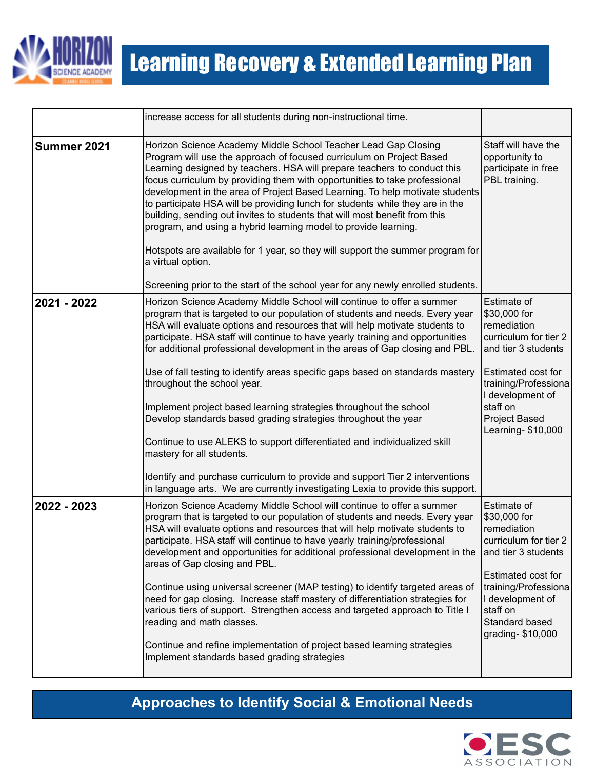

|             | increase access for all students during non-instructional time.                                                                                                                                                                                                                                                                                                                                                                                                                                                                                                                                                                                                                                                                                                                                               |                                                                                                                                                                                                                 |
|-------------|---------------------------------------------------------------------------------------------------------------------------------------------------------------------------------------------------------------------------------------------------------------------------------------------------------------------------------------------------------------------------------------------------------------------------------------------------------------------------------------------------------------------------------------------------------------------------------------------------------------------------------------------------------------------------------------------------------------------------------------------------------------------------------------------------------------|-----------------------------------------------------------------------------------------------------------------------------------------------------------------------------------------------------------------|
| Summer 2021 | Horizon Science Academy Middle School Teacher Lead Gap Closing<br>Program will use the approach of focused curriculum on Project Based<br>Learning designed by teachers. HSA will prepare teachers to conduct this<br>focus curriculum by providing them with opportunities to take professional<br>development in the area of Project Based Learning. To help motivate students<br>to participate HSA will be providing lunch for students while they are in the<br>building, sending out invites to students that will most benefit from this<br>program, and using a hybrid learning model to provide learning.<br>Hotspots are available for 1 year, so they will support the summer program for<br>a virtual option.<br>Screening prior to the start of the school year for any newly enrolled students. | Staff will have the<br>opportunity to<br>participate in free<br>PBL training.                                                                                                                                   |
|             |                                                                                                                                                                                                                                                                                                                                                                                                                                                                                                                                                                                                                                                                                                                                                                                                               |                                                                                                                                                                                                                 |
| 2021 - 2022 | Horizon Science Academy Middle School will continue to offer a summer<br>program that is targeted to our population of students and needs. Every year<br>HSA will evaluate options and resources that will help motivate students to<br>participate. HSA staff will continue to have yearly training and opportunities<br>for additional professional development in the areas of Gap closing and PBL.<br>Use of fall testing to identify areas specific gaps based on standards mastery<br>throughout the school year.<br>Implement project based learning strategies throughout the school<br>Develop standards based grading strategies throughout the year<br>Continue to use ALEKS to support differentiated and individualized skill<br>mastery for all students.                                       | Estimate of<br>\$30,000 for<br>remediation<br>curriculum for tier 2<br>and tier 3 students<br>Estimated cost for<br>training/Professiona<br>I development of<br>staff on<br>Project Based<br>Learning- \$10,000 |
|             | Identify and purchase curriculum to provide and support Tier 2 interventions<br>in language arts. We are currently investigating Lexia to provide this support.                                                                                                                                                                                                                                                                                                                                                                                                                                                                                                                                                                                                                                               |                                                                                                                                                                                                                 |
| 2022 - 2023 | Horizon Science Academy Middle School will continue to offer a summer<br>program that is targeted to our population of students and needs. Every year<br>HSA will evaluate options and resources that will help motivate students to<br>participate. HSA staff will continue to have yearly training/professional<br>development and opportunities for additional professional development in the<br>areas of Gap closing and PBL.                                                                                                                                                                                                                                                                                                                                                                            | Estimate of<br>\$30,000 for<br>remediation<br>curriculum for tier 2<br>and tier 3 students<br>Estimated cost for                                                                                                |
|             | Continue using universal screener (MAP testing) to identify targeted areas of<br>need for gap closing. Increase staff mastery of differentiation strategies for<br>various tiers of support. Strengthen access and targeted approach to Title I<br>reading and math classes.<br>Continue and refine implementation of project based learning strategies<br>Implement standards based grading strategies                                                                                                                                                                                                                                                                                                                                                                                                       | training/Professiona<br>I development of<br>staff on<br>Standard based<br>grading-\$10,000                                                                                                                      |
|             |                                                                                                                                                                                                                                                                                                                                                                                                                                                                                                                                                                                                                                                                                                                                                                                                               |                                                                                                                                                                                                                 |

### **Approaches to Identify Social & Emotional Needs**

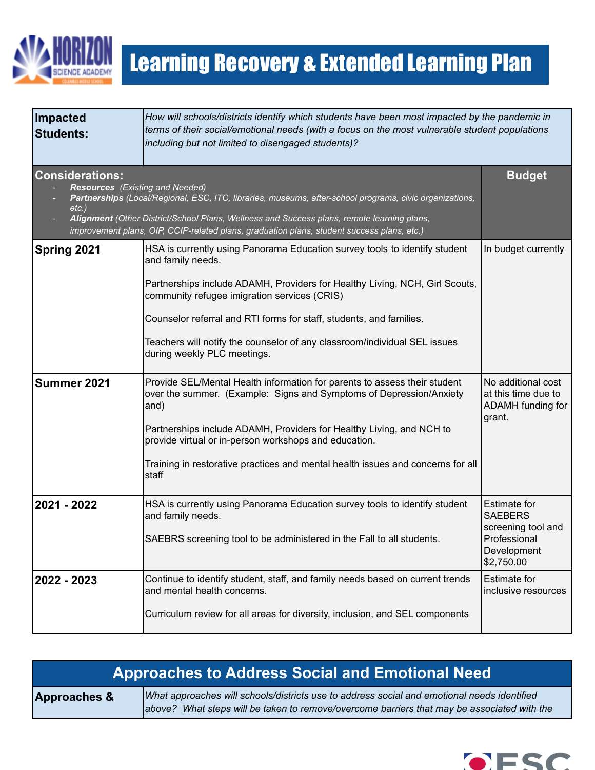

| Impacted<br><b>Students:</b>                                                 | How will schools/districts identify which students have been most impacted by the pandemic in<br>terms of their social/emotional needs (with a focus on the most vulnerable student populations<br>including but not limited to disengaged students)?                                                                                                                                                             |                                                                                                          |
|------------------------------------------------------------------------------|-------------------------------------------------------------------------------------------------------------------------------------------------------------------------------------------------------------------------------------------------------------------------------------------------------------------------------------------------------------------------------------------------------------------|----------------------------------------------------------------------------------------------------------|
| <b>Considerations:</b><br><b>Resources</b> (Existing and Needed)<br>$etc.$ ) | Partnerships (Local/Regional, ESC, ITC, libraries, museums, after-school programs, civic organizations,<br>Alignment (Other District/School Plans, Wellness and Success plans, remote learning plans,<br>improvement plans, OIP, CCIP-related plans, graduation plans, student success plans, etc.)                                                                                                               | <b>Budget</b>                                                                                            |
| Spring 2021                                                                  | HSA is currently using Panorama Education survey tools to identify student<br>and family needs.<br>Partnerships include ADAMH, Providers for Healthy Living, NCH, Girl Scouts,<br>community refugee imigration services (CRIS)<br>Counselor referral and RTI forms for staff, students, and families.<br>Teachers will notify the counselor of any classroom/individual SEL issues<br>during weekly PLC meetings. | In budget currently                                                                                      |
| Summer 2021                                                                  | Provide SEL/Mental Health information for parents to assess their student<br>over the summer. (Example: Signs and Symptoms of Depression/Anxiety<br>and)<br>Partnerships include ADAMH, Providers for Healthy Living, and NCH to<br>provide virtual or in-person workshops and education.<br>Training in restorative practices and mental health issues and concerns for all<br>staff                             | No additional cost<br>at this time due to<br>ADAMH funding for<br>grant.                                 |
| 2021 - 2022                                                                  | HSA is currently using Panorama Education survey tools to identify student<br>and family needs.<br>SAEBRS screening tool to be administered in the Fall to all students.                                                                                                                                                                                                                                          | <b>Estimate for</b><br><b>SAEBERS</b><br>screening tool and<br>Professional<br>Development<br>\$2,750.00 |
| 2022 - 2023                                                                  | Continue to identify student, staff, and family needs based on current trends<br>and mental health concerns.<br>Curriculum review for all areas for diversity, inclusion, and SEL components                                                                                                                                                                                                                      | <b>Estimate for</b><br>inclusive resources                                                               |

| <b>Approaches to Address Social and Emotional Need</b> |                                                                                                                                                                                            |
|--------------------------------------------------------|--------------------------------------------------------------------------------------------------------------------------------------------------------------------------------------------|
| <b>Approaches &amp;</b>                                | What approaches will schools/districts use to address social and emotional needs identified<br>above? What steps will be taken to remove/overcome barriers that may be associated with the |

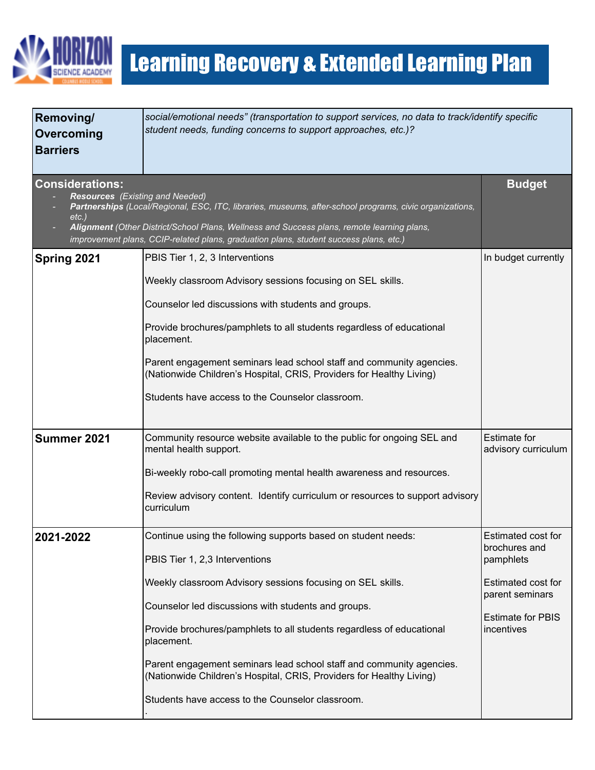

| Removing/<br>Overcoming<br><b>Barriers</b>                                   | social/emotional needs" (transportation to support services, no data to track/identify specific<br>student needs, funding concerns to support approaches, etc.)?                                                                                                                                                                                                                                                                                                                                                |                                                                                                                                            |
|------------------------------------------------------------------------------|-----------------------------------------------------------------------------------------------------------------------------------------------------------------------------------------------------------------------------------------------------------------------------------------------------------------------------------------------------------------------------------------------------------------------------------------------------------------------------------------------------------------|--------------------------------------------------------------------------------------------------------------------------------------------|
| <b>Considerations:</b><br><b>Resources</b> (Existing and Needed)<br>$etc.$ ) | Partnerships (Local/Regional, ESC, ITC, libraries, museums, after-school programs, civic organizations,<br>Alignment (Other District/School Plans, Wellness and Success plans, remote learning plans,<br>improvement plans, CCIP-related plans, graduation plans, student success plans, etc.)                                                                                                                                                                                                                  | <b>Budget</b>                                                                                                                              |
| Spring 2021                                                                  | PBIS Tier 1, 2, 3 Interventions<br>Weekly classroom Advisory sessions focusing on SEL skills.<br>Counselor led discussions with students and groups.<br>Provide brochures/pamphlets to all students regardless of educational<br>placement.<br>Parent engagement seminars lead school staff and community agencies.<br>(Nationwide Children's Hospital, CRIS, Providers for Healthy Living)<br>Students have access to the Counselor classroom.                                                                 | In budget currently                                                                                                                        |
| Summer 2021                                                                  | Community resource website available to the public for ongoing SEL and<br>mental health support.<br>Bi-weekly robo-call promoting mental health awareness and resources.<br>Review advisory content. Identify curriculum or resources to support advisory<br>curriculum                                                                                                                                                                                                                                         | <b>Estimate for</b><br>advisory curriculum                                                                                                 |
| 2021-2022                                                                    | Continue using the following supports based on student needs:<br>PBIS Tier 1, 2,3 Interventions<br>Weekly classroom Advisory sessions focusing on SEL skills.<br>Counselor led discussions with students and groups.<br>Provide brochures/pamphlets to all students regardless of educational<br>placement.<br>Parent engagement seminars lead school staff and community agencies.<br>(Nationwide Children's Hospital, CRIS, Providers for Healthy Living)<br>Students have access to the Counselor classroom. | Estimated cost for<br>brochures and<br>pamphlets<br><b>Estimated cost for</b><br>parent seminars<br><b>Estimate for PBIS</b><br>incentives |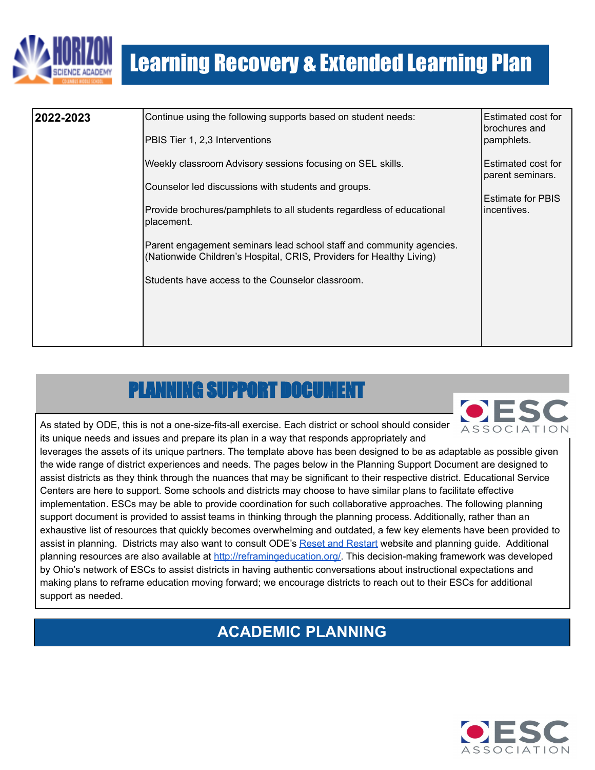

| 2022-2023 | Continue using the following supports based on student needs:<br>PBIS Tier 1, 2,3 Interventions                                              | Estimated cost for<br>brochures and<br>pamphlets. |
|-----------|----------------------------------------------------------------------------------------------------------------------------------------------|---------------------------------------------------|
|           | Weekly classroom Advisory sessions focusing on SEL skills.                                                                                   | <b>Estimated cost for</b><br>parent seminars.     |
|           | Counselor led discussions with students and groups.                                                                                          | Estimate for PBIS                                 |
|           | Provide brochures/pamphlets to all students regardless of educational<br>placement.                                                          | lincentives.                                      |
|           | Parent engagement seminars lead school staff and community agencies.<br>(Nationwide Children's Hospital, CRIS, Providers for Healthy Living) |                                                   |
|           | Students have access to the Counselor classroom.                                                                                             |                                                   |
|           |                                                                                                                                              |                                                   |
|           |                                                                                                                                              |                                                   |

## PLANNING SUPPORT DOC



<span id="page-6-0"></span>As stated by ODE, this is not a one-size-fits-all exercise. Each district or school should consider its unique needs and issues and prepare its plan in a way that responds appropriately and

leverages the assets of its unique partners. The template above has been designed to be as adaptable as possible given the wide range of district experiences and needs. The pages below in the Planning Support Document are designed to assist districts as they think through the nuances that may be significant to their respective district. Educational Service Centers are here to support. Some schools and districts may choose to have similar plans to facilitate effective implementation. ESCs may be able to provide coordination for such collaborative approaches. The following planning support document is provided to assist teams in thinking through the planning process. Additionally, rather than an exhaustive list of resources that quickly becomes overwhelming and outdated, a few key elements have been provided to assist in planning. Districts may also want to consult ODE's Reset and [Restart](http://education.ohio.gov/Topics/Reset-and-Restart) website and planning guide. Additional planning resources are also available at [http://reframingeducation.org/.](http://reframingeducation.org/) This decision-making framework was developed by Ohio's network of ESCs to assist districts in having authentic conversations about instructional expectations and making plans to reframe education moving forward; we encourage districts to reach out to their ESCs for additional support as needed.

### **ACADEMIC PLANNING**

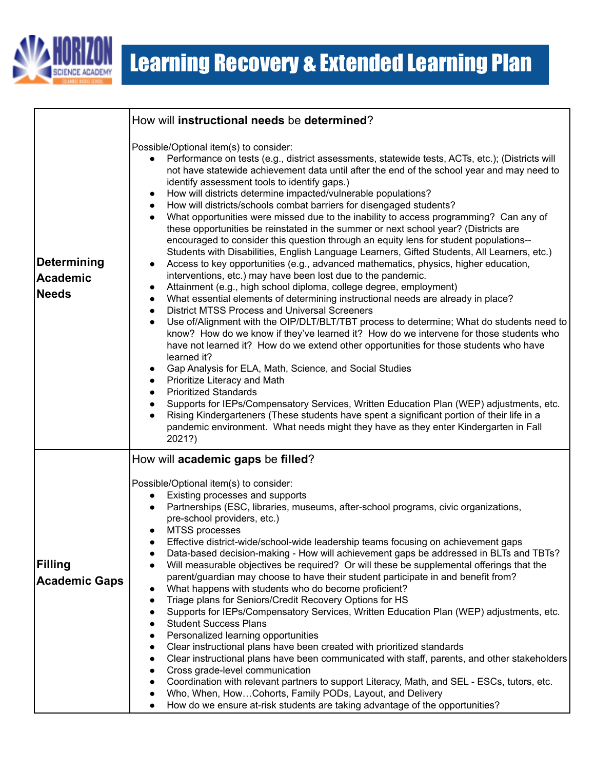

|                                                       | How will instructional needs be determined?                                                                                                                                                                                                                                                                                                                                                                                                                                                                                                                                                                                                                                                                                                                                                                                                                                                                                                                                                                                                                                                                                                                                                                                                                                                                                                                                                                                                                                                                                                                                                                                                                                                                                                                                                                                                                                                                                                                                    |
|-------------------------------------------------------|--------------------------------------------------------------------------------------------------------------------------------------------------------------------------------------------------------------------------------------------------------------------------------------------------------------------------------------------------------------------------------------------------------------------------------------------------------------------------------------------------------------------------------------------------------------------------------------------------------------------------------------------------------------------------------------------------------------------------------------------------------------------------------------------------------------------------------------------------------------------------------------------------------------------------------------------------------------------------------------------------------------------------------------------------------------------------------------------------------------------------------------------------------------------------------------------------------------------------------------------------------------------------------------------------------------------------------------------------------------------------------------------------------------------------------------------------------------------------------------------------------------------------------------------------------------------------------------------------------------------------------------------------------------------------------------------------------------------------------------------------------------------------------------------------------------------------------------------------------------------------------------------------------------------------------------------------------------------------------|
| <b>Determining</b><br><b>Academic</b><br><b>Needs</b> | Possible/Optional item(s) to consider:<br>Performance on tests (e.g., district assessments, statewide tests, ACTs, etc.); (Districts will<br>not have statewide achievement data until after the end of the school year and may need to<br>identify assessment tools to identify gaps.)<br>How will districts determine impacted/vulnerable populations?<br>$\bullet$<br>How will districts/schools combat barriers for disengaged students?<br>What opportunities were missed due to the inability to access programming? Can any of<br>these opportunities be reinstated in the summer or next school year? (Districts are<br>encouraged to consider this question through an equity lens for student populations--<br>Students with Disabilities, English Language Learners, Gifted Students, All Learners, etc.)<br>Access to key opportunities (e.g., advanced mathematics, physics, higher education,<br>$\bullet$<br>interventions, etc.) may have been lost due to the pandemic.<br>Attainment (e.g., high school diploma, college degree, employment)<br>$\bullet$<br>What essential elements of determining instructional needs are already in place?<br>٠<br><b>District MTSS Process and Universal Screeners</b><br>$\bullet$<br>Use of/Alignment with the OIP/DLT/BLT/TBT process to determine; What do students need to<br>$\bullet$<br>know? How do we know if they've learned it? How do we intervene for those students who<br>have not learned it? How do we extend other opportunities for those students who have<br>learned it?<br>Gap Analysis for ELA, Math, Science, and Social Studies<br>٠<br>Prioritize Literacy and Math<br><b>Prioritized Standards</b><br>Supports for IEPs/Compensatory Services, Written Education Plan (WEP) adjustments, etc.<br>Rising Kindergarteners (These students have spent a significant portion of their life in a<br>pandemic environment. What needs might they have as they enter Kindergarten in Fall<br>2021?) |
| Filling<br><b>Academic Gaps</b>                       | How will academic gaps be filled?<br>Possible/Optional item(s) to consider:<br>Existing processes and supports<br>Partnerships (ESC, libraries, museums, after-school programs, civic organizations,<br>pre-school providers, etc.)<br>MTSS processes<br>Effective district-wide/school-wide leadership teams focusing on achievement gaps<br>Data-based decision-making - How will achievement gaps be addressed in BLTs and TBTs?<br>$\bullet$<br>Will measurable objectives be required? Or will these be supplemental offerings that the<br>$\bullet$<br>parent/guardian may choose to have their student participate in and benefit from?<br>What happens with students who do become proficient?<br>$\bullet$<br>Triage plans for Seniors/Credit Recovery Options for HS<br>$\bullet$<br>Supports for IEPs/Compensatory Services, Written Education Plan (WEP) adjustments, etc.<br>٠<br><b>Student Success Plans</b><br>Personalized learning opportunities<br>$\bullet$<br>Clear instructional plans have been created with prioritized standards<br>$\bullet$<br>Clear instructional plans have been communicated with staff, parents, and other stakeholders<br>Cross grade-level communication<br>Coordination with relevant partners to support Literacy, Math, and SEL - ESCs, tutors, etc.<br>Who, When, HowCohorts, Family PODs, Layout, and Delivery<br>How do we ensure at-risk students are taking advantage of the opportunities?                                                                                                                                                                                                                                                                                                                                                                                                                                                                                                                           |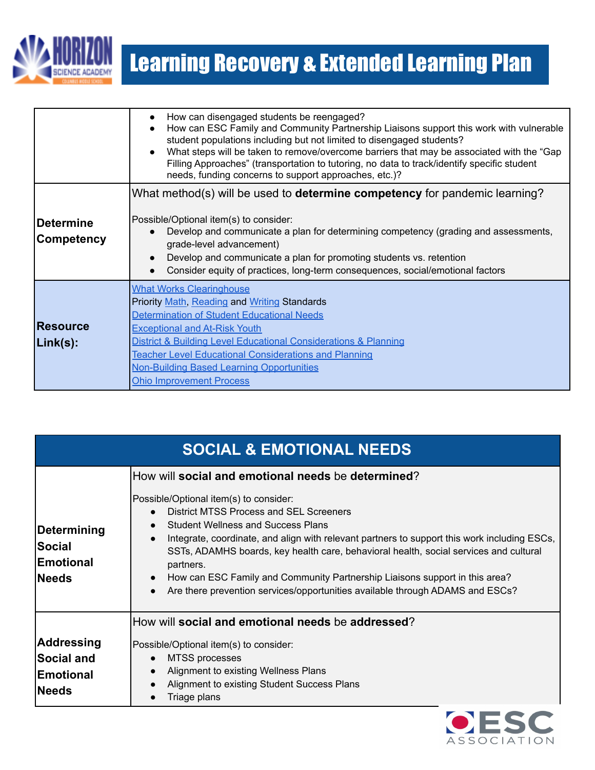

|                                 | How can disengaged students be reengaged?<br>$\bullet$<br>How can ESC Family and Community Partnership Liaisons support this work with vulnerable<br>student populations including but not limited to disengaged students?<br>What steps will be taken to remove/overcome barriers that may be associated with the "Gap"<br>$\bullet$<br>Filling Approaches" (transportation to tutoring, no data to track/identify specific student<br>needs, funding concerns to support approaches, etc.)? |
|---------------------------------|-----------------------------------------------------------------------------------------------------------------------------------------------------------------------------------------------------------------------------------------------------------------------------------------------------------------------------------------------------------------------------------------------------------------------------------------------------------------------------------------------|
| <b>IDetermine</b><br>Competency | What method(s) will be used to <b>determine competency</b> for pandemic learning?<br>Possible/Optional item(s) to consider:<br>Develop and communicate a plan for determining competency (grading and assessments,<br>grade-level advancement)<br>Develop and communicate a plan for promoting students vs. retention<br>Consider equity of practices, long-term consequences, social/emotional factors                                                                                       |
| Resource<br> Link(s):           | <b>What Works Clearinghouse</b><br>Priority Math, Reading and Writing Standards<br>Determination of Student Educational Needs<br><b>Exceptional and At-Risk Youth</b><br>District & Building Level Educational Considerations & Planning<br><b>Teacher Level Educational Considerations and Planning</b><br><b>Non-Building Based Learning Opportunities</b><br><b>Ohio Improvement Process</b>                                                                                               |

| <b>SOCIAL &amp; EMOTIONAL NEEDS</b>                |                                                                                                                                                                                                                                                                                                                                                                                                                                                                                                                                                                                                   |
|----------------------------------------------------|---------------------------------------------------------------------------------------------------------------------------------------------------------------------------------------------------------------------------------------------------------------------------------------------------------------------------------------------------------------------------------------------------------------------------------------------------------------------------------------------------------------------------------------------------------------------------------------------------|
| Determining<br>Social<br>Emotional<br><b>Needs</b> | How will social and emotional needs be determined?<br>Possible/Optional item(s) to consider:<br>District MTSS Process and SEL Screeners<br><b>Student Wellness and Success Plans</b><br>Integrate, coordinate, and align with relevant partners to support this work including ESCs,<br>$\bullet$<br>SSTs, ADAMHS boards, key health care, behavioral health, social services and cultural<br>partners.<br>How can ESC Family and Community Partnership Liaisons support in this area?<br>$\bullet$<br>Are there prevention services/opportunities available through ADAMS and ESCs?<br>$\bullet$ |
|                                                    | How will social and emotional needs be addressed?                                                                                                                                                                                                                                                                                                                                                                                                                                                                                                                                                 |
| Addressing                                         | Possible/Optional item(s) to consider:                                                                                                                                                                                                                                                                                                                                                                                                                                                                                                                                                            |
| <b>Social and</b>                                  | MTSS processes                                                                                                                                                                                                                                                                                                                                                                                                                                                                                                                                                                                    |
| <b>Emotional</b>                                   | Alignment to existing Wellness Plans<br>$\bullet$<br>Alignment to existing Student Success Plans                                                                                                                                                                                                                                                                                                                                                                                                                                                                                                  |
| Needs                                              | Triage plans                                                                                                                                                                                                                                                                                                                                                                                                                                                                                                                                                                                      |

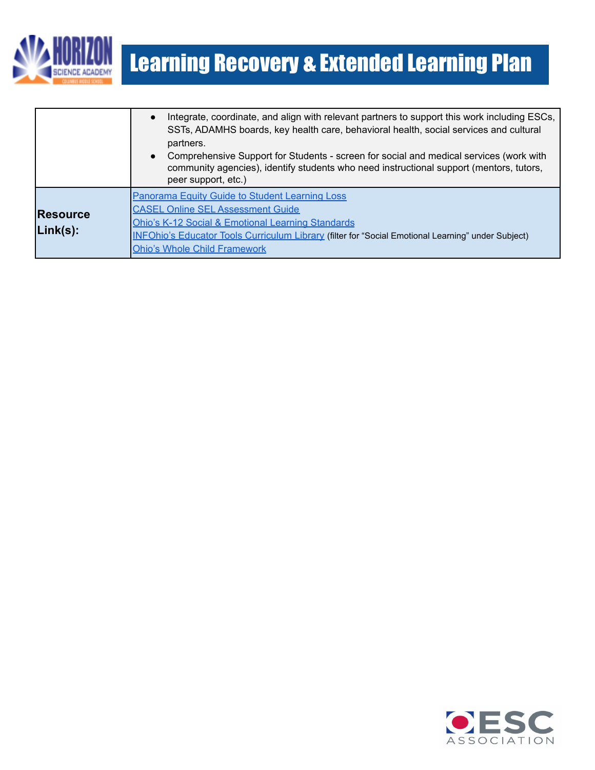

|                                | Integrate, coordinate, and align with relevant partners to support this work including ESCs,<br>SSTs, ADAMHS boards, key health care, behavioral health, social services and cultural<br>partners.<br>Comprehensive Support for Students - screen for social and medical services (work with<br>$\bullet$<br>community agencies), identify students who need instructional support (mentors, tutors,<br>peer support, etc.) |
|--------------------------------|-----------------------------------------------------------------------------------------------------------------------------------------------------------------------------------------------------------------------------------------------------------------------------------------------------------------------------------------------------------------------------------------------------------------------------|
| <b>Resource</b><br>$Link(s)$ : | Panorama Equity Guide to Student Learning Loss<br><b>CASEL Online SEL Assessment Guide</b><br><b>Ohio's K-12 Social &amp; Emotional Learning Standards</b><br>INFOhio's Educator Tools Curriculum Library (filter for "Social Emotional Learning" under Subject)<br><b>Ohio's Whole Child Framework</b>                                                                                                                     |